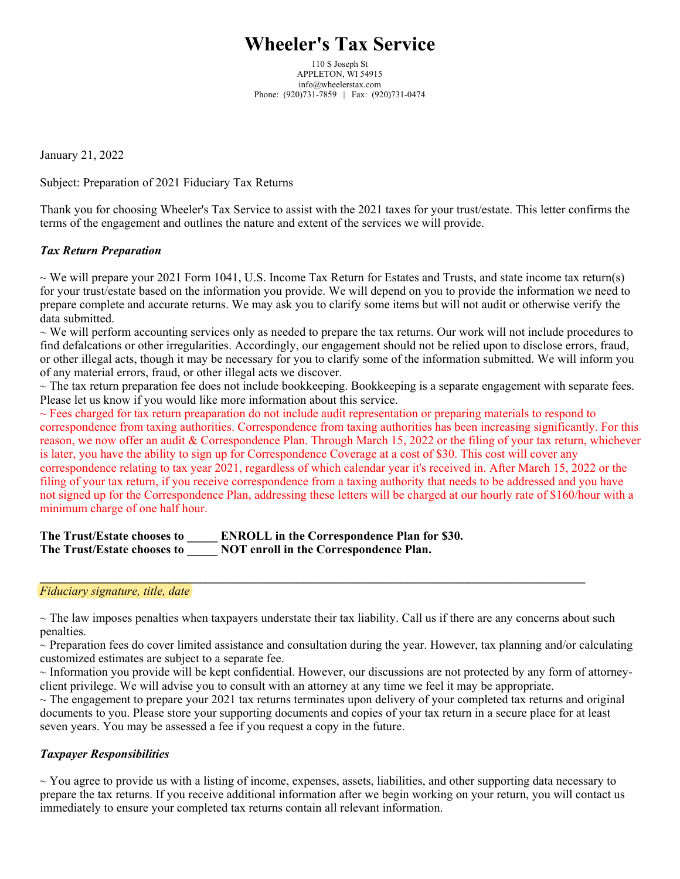# **Wheeler's Tax Service**

110 S Joseph St APPLETON, WI 54915 info@wheelerstax.com Phone: (920)731-7859 | Fax: (920)731-0474

January 21, 2022

Subject: Preparation of 2021 Fiduciary Tax Returns

Thank you for choosing Wheeler's Tax Service to assist with the 2021 taxes for your trust/estate. This letter confirms the terms of the engagement and outlines the nature and extent of the services we will provide.

## *Tax Return Preparation*

 $\sim$  We will prepare your 2021 Form 1041, U.S. Income Tax Return for Estates and Trusts, and state income tax return(s) for your trust/estate based on the information you provide. We will depend on you to provide the information we need to prepare complete and accurate returns. We may ask you to clarify some items but will not audit or otherwise verify the data submitted.

 $\sim$  We will perform accounting services only as needed to prepare the tax returns. Our work will not include procedures to find defalcations or other irregularities. Accordingly, our engagement should not be relied upon to disclose errors, fraud, or other illegal acts, though it may be necessary for you to clarify some of the information submitted. We will inform you of any material errors, fraud, or other illegal acts we discover.

 $\sim$  The tax return preparation fee does not include bookkeeping. Bookkeeping is a separate engagement with separate fees. Please let us know if you would like more information about this service.

 $\sim$  Fees charged for tax return preaparation do not include audit representation or preparing materials to respond to correspondence from taxing authorities. Correspondence from taxing authorities has been increasing significantly. For this reason, we now offer an audit & Correspondence Plan. Through March 15, 2022 or the filing of your tax return, whichever is later, you have the ability to sign up for Correspondence Coverage at a cost of \$30. This cost will cover any correspondence relating to tax year 2021, regardless of which calendar year it's received in. After March 15, 2022 or the filing of your tax return, if you receive correspondence from a taxing authority that needs to be addressed and you have not signed up for the Correspondence Plan, addressing these letters will be charged at our hourly rate of \$160/hour with a minimum charge of one half hour.

**The Trust/Estate chooses to \_\_\_\_\_ ENROLL in the Correspondence Plan for \$30. The Trust/Estate chooses to \_\_\_\_\_ NOT enroll in the Correspondence Plan.**

#### *Fiduciary signature, title, date*

 $\sim$  The law imposes penalties when taxpayers understate their tax liability. Call us if there are any concerns about such penalties.

**\_\_\_\_\_\_\_\_\_\_\_\_\_\_\_\_\_\_\_\_\_\_\_\_\_\_\_\_\_\_\_\_\_\_\_\_\_\_\_\_\_\_\_\_\_\_\_\_\_\_\_\_\_\_\_\_\_\_\_\_\_\_\_\_\_\_\_\_\_\_\_\_\_\_\_\_\_\_\_\_\_\_\_\_\_\_\_\_\_**

 $\sim$  Preparation fees do cover limited assistance and consultation during the year. However, tax planning and/or calculating customized estimates are subject to a separate fee.

~ Information you provide will be kept confidential. However, our discussions are not protected by any form of attorneyclient privilege. We will advise you to consult with an attorney at any time we feel it may be appropriate.

 $\sim$  The engagement to prepare your 2021 tax returns terminates upon delivery of your completed tax returns and original documents to you. Please store your supporting documents and copies of your tax return in a secure place for at least seven years. You may be assessed a fee if you request a copy in the future.

## *Taxpayer Responsibilities*

 $\sim$  You agree to provide us with a listing of income, expenses, assets, liabilities, and other supporting data necessary to prepare the tax returns. If you receive additional information after we begin working on your return, you will contact us immediately to ensure your completed tax returns contain all relevant information.